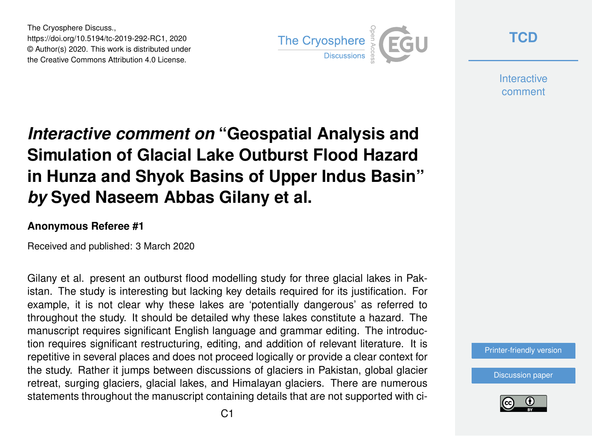The Cryosphere Discuss., https://doi.org/10.5194/tc-2019-292-RC1, 2020 © Author(s) 2020. This work is distributed under the Creative Commons Attribution 4.0 License.



**[TCD](https://www.the-cryosphere-discuss.net/)**

**Interactive** comment

## *Interactive comment on* **"Geospatial Analysis and Simulation of Glacial Lake Outburst Flood Hazard in Hunza and Shyok Basins of Upper Indus Basin"** *by* **Syed Naseem Abbas Gilany et al.**

## **Anonymous Referee #1**

Received and published: 3 March 2020

Gilany et al. present an outburst flood modelling study for three glacial lakes in Pakistan. The study is interesting but lacking key details required for its justification. For example, it is not clear why these lakes are 'potentially dangerous' as referred to throughout the study. It should be detailed why these lakes constitute a hazard. The manuscript requires significant English language and grammar editing. The introduction requires significant restructuring, editing, and addition of relevant literature. It is repetitive in several places and does not proceed logically or provide a clear context for the study. Rather it jumps between discussions of glaciers in Pakistan, global glacier retreat, surging glaciers, glacial lakes, and Himalayan glaciers. There are numerous statements throughout the manuscript containing details that are not supported with ci-



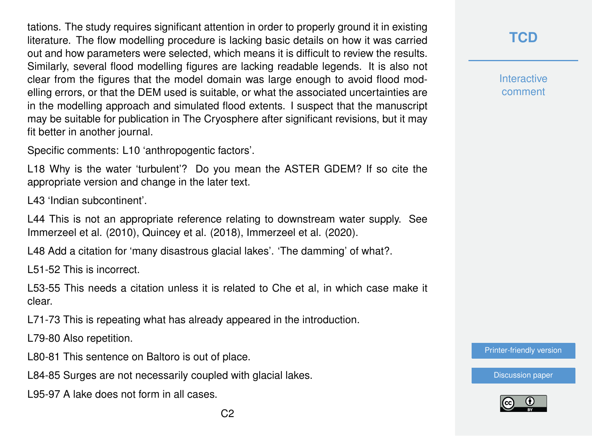tations. The study requires significant attention in order to properly ground it in existing literature. The flow modelling procedure is lacking basic details on how it was carried out and how parameters were selected, which means it is difficult to review the results. Similarly, several flood modelling figures are lacking readable legends. It is also not clear from the figures that the model domain was large enough to avoid flood modelling errors, or that the DEM used is suitable, or what the associated uncertainties are in the modelling approach and simulated flood extents. I suspect that the manuscript may be suitable for publication in The Cryosphere after significant revisions, but it may fit better in another journal.

Specific comments: L10 'anthropogentic factors'.

L18 Why is the water 'turbulent'? Do you mean the ASTER GDEM? If so cite the appropriate version and change in the later text.

L43 'Indian subcontinent'.

L44 This is not an appropriate reference relating to downstream water supply. See Immerzeel et al. (2010), Quincey et al. (2018), Immerzeel et al. (2020).

L48 Add a citation for 'many disastrous glacial lakes'. 'The damming' of what?.

L51-52 This is incorrect.

L53-55 This needs a citation unless it is related to Che et al, in which case make it clear.

L71-73 This is repeating what has already appeared in the introduction.

L79-80 Also repetition.

L80-81 This sentence on Baltoro is out of place.

L84-85 Surges are not necessarily coupled with glacial lakes.

L95-97 A lake does not form in all cases.

**Interactive** comment

[Printer-friendly version](https://www.the-cryosphere-discuss.net/tc-2019-292/tc-2019-292-RC1-print.pdf)

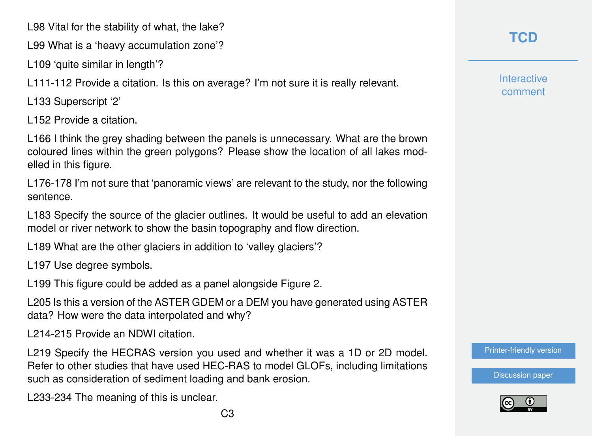L98 Vital for the stability of what, the lake?

L99 What is a 'heavy accumulation zone'?

L109 'quite similar in length'?

L111-112 Provide a citation. Is this on average? I'm not sure it is really relevant.

L133 Superscript '2'

L152 Provide a citation.

L166 I think the grey shading between the panels is unnecessary. What are the brown coloured lines within the green polygons? Please show the location of all lakes modelled in this figure.

L176-178 I'm not sure that 'panoramic views' are relevant to the study, nor the following sentence.

L183 Specify the source of the glacier outlines. It would be useful to add an elevation model or river network to show the basin topography and flow direction.

L189 What are the other glaciers in addition to 'valley glaciers'?

L197 Use degree symbols.

L199 This figure could be added as a panel alongside Figure 2.

L205 Is this a version of the ASTER GDEM or a DEM you have generated using ASTER data? How were the data interpolated and why?

L214-215 Provide an NDWI citation.

L219 Specify the HECRAS version you used and whether it was a 1D or 2D model. Refer to other studies that have used HEC-RAS to model GLOFs, including limitations such as consideration of sediment loading and bank erosion.

L233-234 The meaning of this is unclear.

**Interactive** comment

[Printer-friendly version](https://www.the-cryosphere-discuss.net/tc-2019-292/tc-2019-292-RC1-print.pdf)

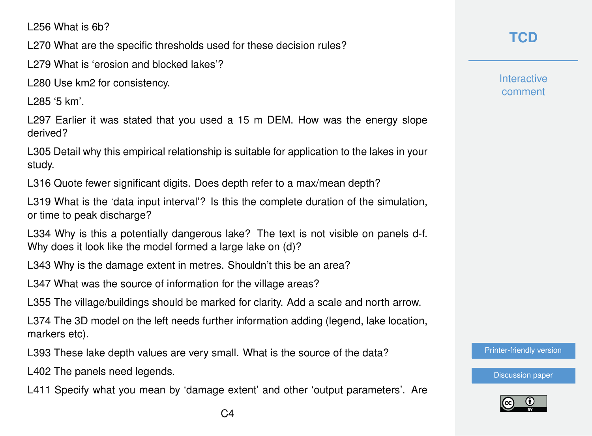L256 What is 6b?

L270 What are the specific thresholds used for these decision rules?

L279 What is 'erosion and blocked lakes'?

L280 Use km2 for consistency.

L285 '5 km'.

L297 Earlier it was stated that you used a 15 m DEM. How was the energy slope derived?

L305 Detail why this empirical relationship is suitable for application to the lakes in your study.

L316 Quote fewer significant digits. Does depth refer to a max/mean depth?

L319 What is the 'data input interval'? Is this the complete duration of the simulation, or time to peak discharge?

L334 Why is this a potentially dangerous lake? The text is not visible on panels d-f. Why does it look like the model formed a large lake on (d)?

L343 Why is the damage extent in metres. Shouldn't this be an area?

L347 What was the source of information for the village areas?

L355 The village/buildings should be marked for clarity. Add a scale and north arrow.

L374 The 3D model on the left needs further information adding (legend, lake location, markers etc).

L393 These lake depth values are very small. What is the source of the data?

L402 The panels need legends.

L411 Specify what you mean by 'damage extent' and other 'output parameters'. Are

**[TCD](https://www.the-cryosphere-discuss.net/)**

**Interactive** comment

[Printer-friendly version](https://www.the-cryosphere-discuss.net/tc-2019-292/tc-2019-292-RC1-print.pdf)